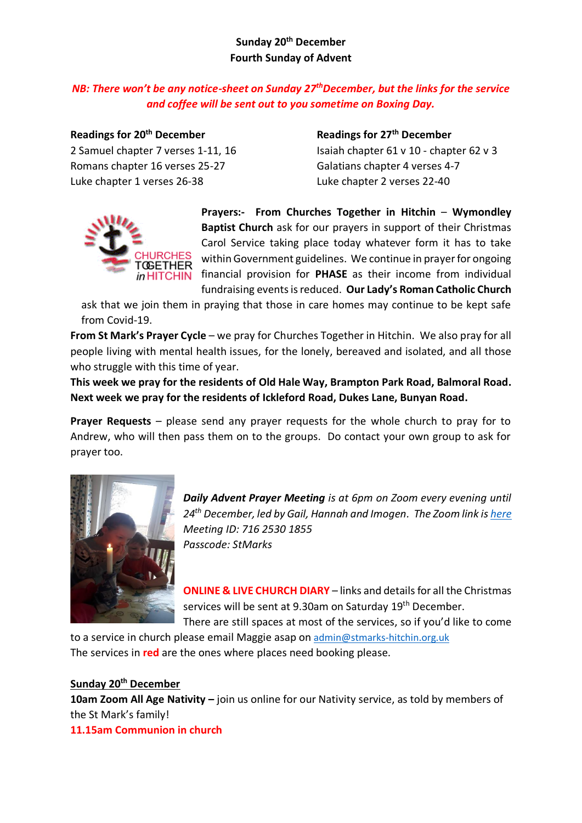## **Sunday 20th December Fourth Sunday of Advent**

# *NB: There won't be any notice-sheet on Sunday 27thDecember, but the links for the service and coffee will be sent out to you sometime on Boxing Day.*

Romans chapter 16 verses 25-27 Galatians chapter 4 verses 4-7 Luke chapter 1 verses 26-38 Luke chapter 2 verses 22-40

**Readings for 20th December Readings for 27th December** 2 Samuel chapter 7 verses 1-11, 16 Isaiah chapter 61 v 10 - chapter 62 v 3



**Prayers:- From Churches Together in Hitchin** – **Wymondley Baptist Church** ask for our prayers in support of their Christmas Carol Service taking place today whatever form it has to take within Government guidelines. We continue in prayer for ongoing financial provision for **PHASE** as their income from individual fundraising events is reduced. **Our Lady's Roman Catholic Church**

ask that we join them in praying that those in care homes may continue to be kept safe from Covid-19.

**From St Mark's Prayer Cycle** – we pray for Churches Together in Hitchin. We also pray for all people living with mental health issues, for the lonely, bereaved and isolated, and all those who struggle with this time of year.

**This week we pray for the residents of Old Hale Way, Brampton Park Road, Balmoral Road. Next week we pray for the residents of Ickleford Road, Dukes Lane, Bunyan Road.**

**Prayer Requests** – please send any prayer requests for the whole church to pray for to Andrew, who will then pass them on to the groups. Do contact your own group to ask for prayer too.



*Daily Advent Prayer Meeting is at 6pm on Zoom every evening until 24th December, led by Gail, Hannah and Imogen. The Zoom link i[s here](https://us04web.zoom.us/j/71625301855?pwd=RG1DNTdZZmFqaXkyR0VPRjFGV1FWZz09) Meeting ID: 716 2530 1855 Passcode: StMarks*

**ONLINE & LIVE CHURCH DIARY** – links and details for all the Christmas services will be sent at 9.30am on Saturday 19<sup>th</sup> December. There are still spaces at most of the services, so if you'd like to come

to a service in church please email Maggie asap on [admin@stmarks-hitchin.org.uk](mailto:admin@stmarks-hitchin.org.uk) The services in **red** are the ones where places need booking please.

## **Sunday 20th December**

**10am Zoom All Age Nativity –** join us online for our Nativity service, as told by members of the St Mark's family!

**11.15am Communion in church**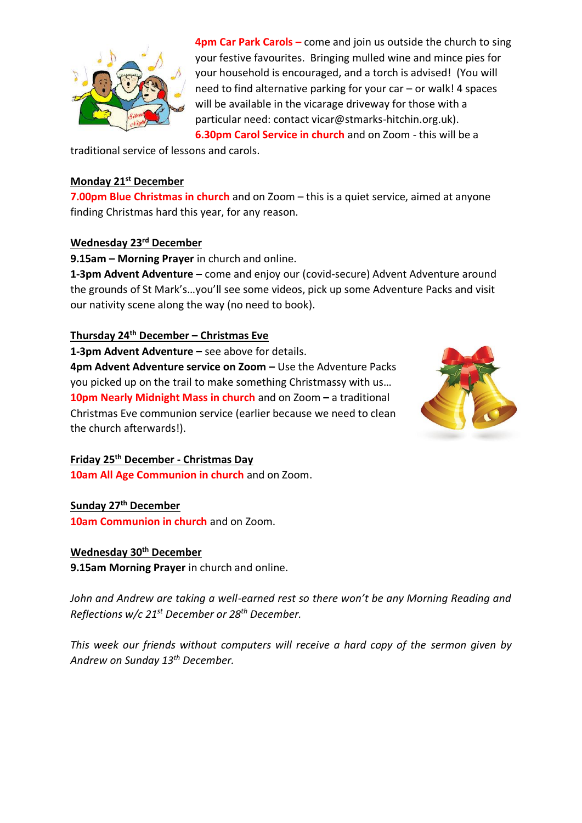

**4pm Car Park Carols –** come and join us outside the church to sing your festive favourites. Bringing mulled wine and mince pies for your household is encouraged, and a torch is advised! (You will need to find alternative parking for your car – or walk! 4 spaces will be available in the vicarage driveway for those with a particular need: contact vicar@stmarks-hitchin.org.uk). **6.30pm Carol Service in church** and on Zoom - this will be a

traditional service of lessons and carols.

#### **Monday 21st December**

**7.00pm Blue Christmas in church** and on Zoom – this is a quiet service, aimed at anyone finding Christmas hard this year, for any reason.

### **Wednesday 23rd December**

**9.15am – Morning Prayer** in church and online.

**1-3pm Advent Adventure –** come and enjoy our (covid-secure) Advent Adventure around the grounds of St Mark's…you'll see some videos, pick up some Adventure Packs and visit our nativity scene along the way (no need to book).

#### **Thursday 24th December – Christmas Eve**

**1-3pm Advent Adventure –** see above for details.

**4pm Advent Adventure service on Zoom –** Use the Adventure Packs you picked up on the trail to make something Christmassy with us… **10pm Nearly Midnight Mass in church** and on Zoom **–** a traditional Christmas Eve communion service (earlier because we need to clean the church afterwards!).



#### **Friday 25th December - Christmas Day**

**10am All Age Communion in church** and on Zoom.

#### **Sunday 27th December**

**10am Communion in church** and on Zoom.

### **Wednesday 30th December**

**9.15am Morning Prayer** in church and online.

*John and Andrew are taking a well-earned rest so there won't be any Morning Reading and Reflections w/c 21st December or 28th December.*

*This week our friends without computers will receive a hard copy of the sermon given by Andrew on Sunday 13th December.*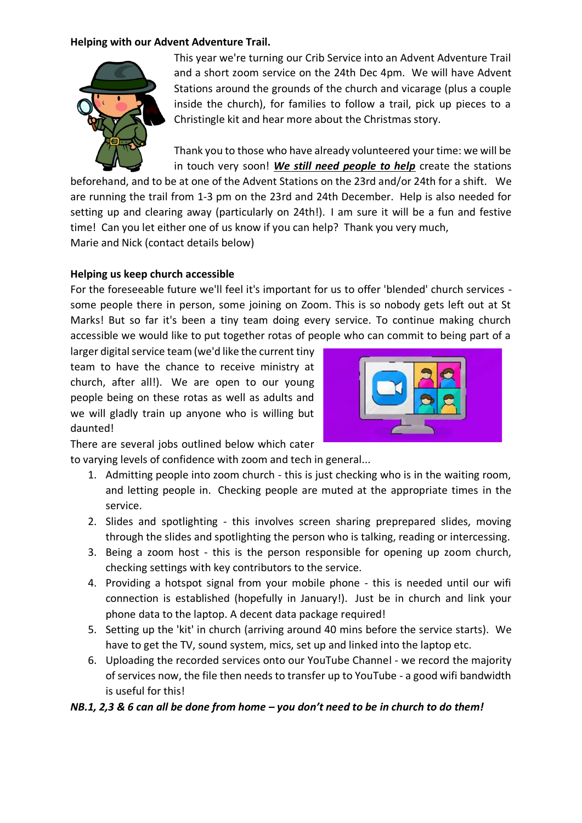#### **Helping with our Advent Adventure Trail.**



This year we're turning our Crib Service into an Advent Adventure Trail and a short zoom service on the 24th Dec 4pm. We will have Advent Stations around the grounds of the church and vicarage (plus a couple inside the church), for families to follow a trail, pick up pieces to a Christingle kit and hear more about the Christmas story.

Thank you to those who have already volunteered your time: we will be in touch very soon! *We still need people to help* create the stations

beforehand, and to be at one of the Advent Stations on the 23rd and/or 24th for a shift. We are running the trail from 1-3 pm on the 23rd and 24th December. Help is also needed for setting up and clearing away (particularly on 24th!). I am sure it will be a fun and festive time! Can you let either one of us know if you can help? Thank you very much, Marie and Nick (contact details below)

### **Helping us keep church accessible**

For the foreseeable future we'll feel it's important for us to offer 'blended' church services some people there in person, some joining on Zoom. This is so nobody gets left out at St Marks! But so far it's been a tiny team doing every service. To continue making church accessible we would like to put together rotas of people who can commit to being part of a

larger digital service team (we'd like the current tiny team to have the chance to receive ministry at church, after all!). We are open to our young people being on these rotas as well as adults and we will gladly train up anyone who is willing but daunted!



There are several jobs outlined below which cater

to varying levels of confidence with zoom and tech in general...

- 1. Admitting people into zoom church this is just checking who is in the waiting room, and letting people in. Checking people are muted at the appropriate times in the service.
- 2. Slides and spotlighting this involves screen sharing preprepared slides, moving through the slides and spotlighting the person who is talking, reading or intercessing.
- 3. Being a zoom host this is the person responsible for opening up zoom church, checking settings with key contributors to the service.
- 4. Providing a hotspot signal from your mobile phone this is needed until our wifi connection is established (hopefully in January!). Just be in church and link your phone data to the laptop. A decent data package required!
- 5. Setting up the 'kit' in church (arriving around 40 mins before the service starts). We have to get the TV, sound system, mics, set up and linked into the laptop etc.
- 6. Uploading the recorded services onto our YouTube Channel we record the majority of services now, the file then needs to transfer up to YouTube - a good wifi bandwidth is useful for this!

### *NB.1, 2,3 & 6 can all be done from home – you don't need to be in church to do them!*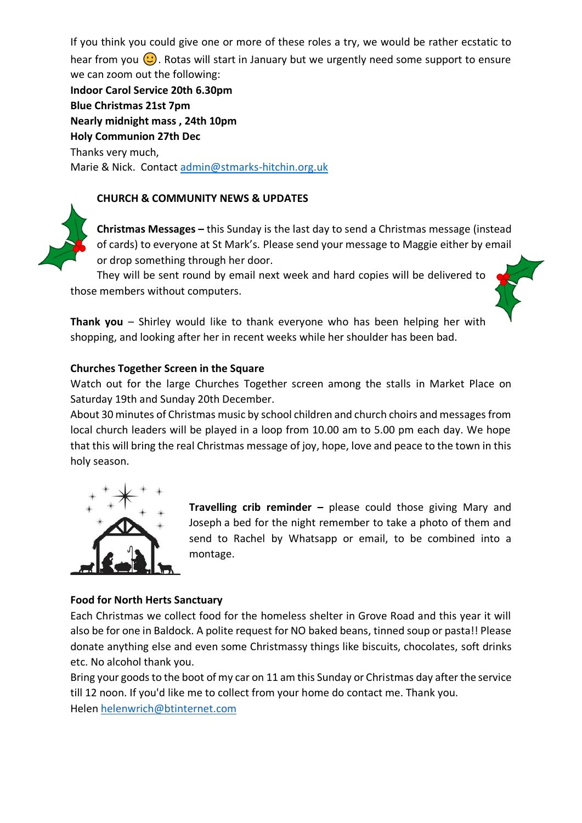If you think you could give one or more of these roles a try, we would be rather ecstatic to hear from you  $\bigcirc$ . Rotas will start in January but we urgently need some support to ensure we can zoom out the following:

**Indoor Carol Service 20th 6.30pm Blue Christmas 21st 7pm Nearly midnight mass , 24th 10pm Holy Communion 27th Dec** Thanks very much, Marie & Nick. Contact [admin@stmarks-hitchin.org.uk](mailto:admin@stmarks-hitchin.org.uk)

## **CHURCH & COMMUNITY NEWS & UPDATES**



**Christmas Messages –** this Sunday is the last day to send a Christmas message (instead of cards) to everyone at St Mark's*.* Please send your message to Maggie either by email or drop something through her door.

They will be sent round by email next week and hard copies will be delivered to those members without computers.



**Thank you** – Shirley would like to thank everyone who has been helping her with shopping, and looking after her in recent weeks while her shoulder has been bad.

### **Churches Together Screen in the Square**

Watch out for the large Churches Together screen among the stalls in Market Place on Saturday 19th and Sunday 20th December.

About 30 minutes of Christmas music by school children and church choirs and messages from local church leaders will be played in a loop from 10.00 am to 5.00 pm each day. We hope that this will bring the real Christmas message of joy, hope, love and peace to the town in this holy season.



**Travelling crib reminder –** please could those giving Mary and Joseph a bed for the night remember to take a photo of them and send to Rachel by Whatsapp or email, to be combined into a montage.

## **Food for North Herts Sanctuary**

Each Christmas we collect food for the homeless shelter in Grove Road and this year it will also be for one in Baldock. A polite request for NO baked beans, tinned soup or pasta!! Please donate anything else and even some Christmassy things like biscuits, chocolates, soft drinks etc. No alcohol thank you.

Bring your goods to the boot of my car on 11 am this Sunday or Christmas day after the service till 12 noon. If you'd like me to collect from your home do contact me. Thank you. Helen [helenwrich@btinternet.com](mailto:helenwrich@btinternet.com)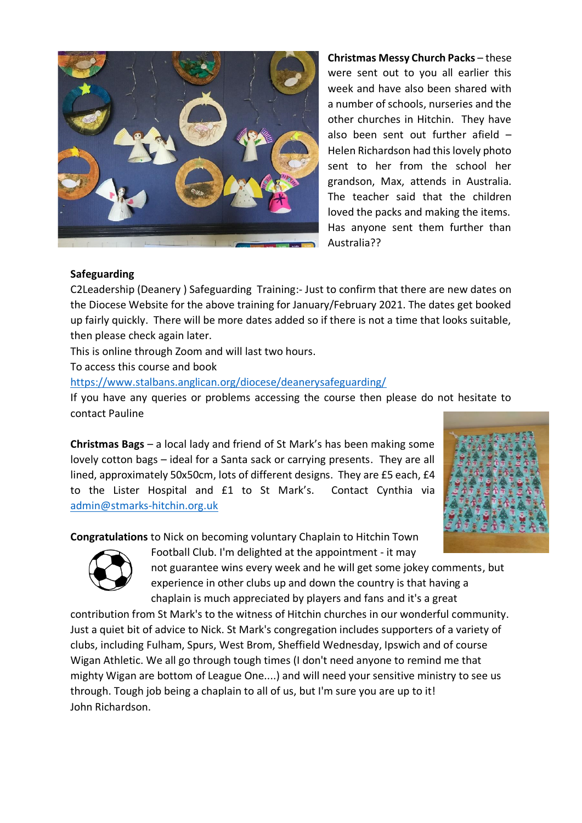

**Christmas Messy Church Packs** – these were sent out to you all earlier this week and have also been shared with a number of schools, nurseries and the other churches in Hitchin. They have also been sent out further afield – Helen Richardson had this lovely photo sent to her from the school her grandson, Max, attends in Australia. The teacher said that the children loved the packs and making the items. Has anyone sent them further than Australia??

#### **Safeguarding**

C2Leadership (Deanery ) Safeguarding Training:- Just to confirm that there are new dates on the Diocese Website for the above training for January/February 2021. The dates get booked up fairly quickly. There will be more dates added so if there is not a time that looks suitable, then please check again later.

This is online through Zoom and will last two hours.

To access this course and book

<https://www.stalbans.anglican.org/diocese/deanerysafeguarding/>

If you have any queries or problems accessing the course then please do not hesitate to contact Pauline

**Christmas Bags** – a local lady and friend of St Mark's has been making some lovely cotton bags – ideal for a Santa sack or carrying presents. They are all lined, approximately 50x50cm, lots of different designs. They are £5 each, £4 to the Lister Hospital and £1 to St Mark's. Contact Cynthia via [admin@stmarks-hitchin.org.uk](mailto:admin@stmarks-hitchin.org.uk)



**Congratulations** to Nick on becoming voluntary Chaplain to Hitchin Town



Football Club. I'm delighted at the appointment - it may

not guarantee wins every week and he will get some jokey comments, but experience in other clubs up and down the country is that having a chaplain is much appreciated by players and fans and it's a great

contribution from St Mark's to the witness of Hitchin churches in our wonderful community. Just a quiet bit of advice to Nick. St Mark's congregation includes supporters of a variety of clubs, including Fulham, Spurs, West Brom, Sheffield Wednesday, Ipswich and of course Wigan Athletic. We all go through tough times (I don't need anyone to remind me that mighty Wigan are bottom of League One....) and will need your sensitive ministry to see us through. Tough job being a chaplain to all of us, but I'm sure you are up to it! John Richardson.